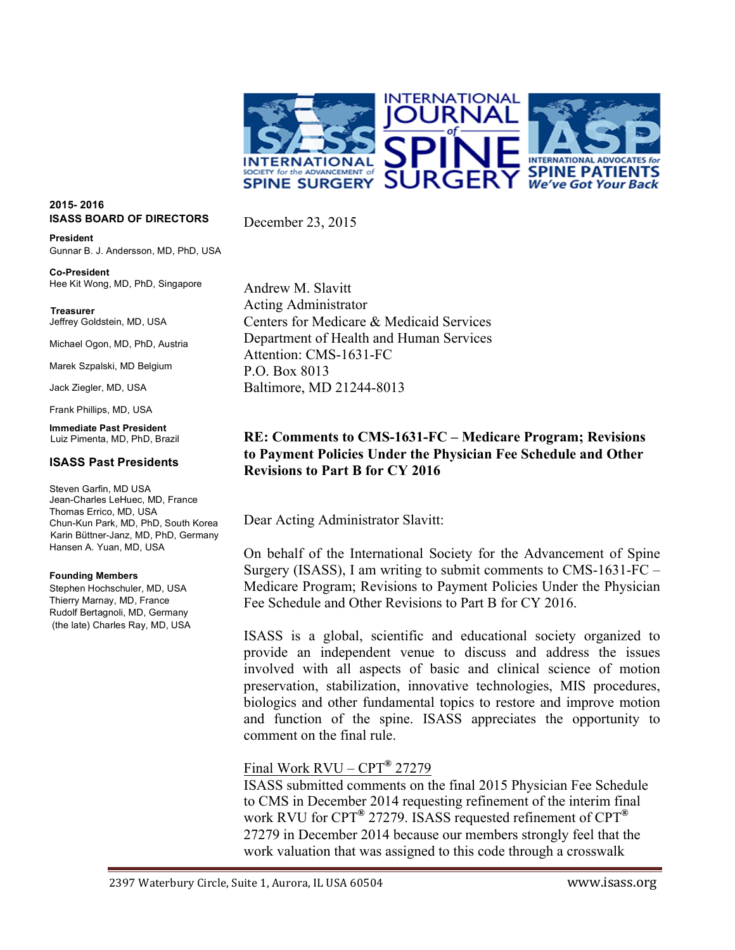

## **2015- 2016 ISASS BOARD OF DIRECTORS**

**President** Gunnar B. J. Andersson, MD, PhD, USA

**Co-President** Hee Kit Wong, MD, PhD, Singapore

 **Treasurer** Jeffrey Goldstein, MD, USA

Michael Ogon, MD, PhD, Austria

Marek Szpalski, MD Belgium

Jack Ziegler, MD, USA

Frank Phillips, MD, USA

**Immediate Past President** Luiz Pimenta, MD, PhD, Brazil

## **ISASS Past Presidents**

Steven Garfin, MD USA Jean-Charles LeHuec, MD, France Thomas Errico, MD, USA Chun-Kun Park, MD, PhD, South Korea Karin Büttner-Janz, MD, PhD, Germany Hansen A. Yuan, MD, USA

#### **Founding Members**

Stephen Hochschuler, MD, USA Thierry Marnay, MD, France Rudolf Bertagnoli, MD, Germany (the late) Charles Ray, MD, USA Andrew M. Slavitt Acting Administrator Centers for Medicare & Medicaid Services Department of Health and Human Services Attention: CMS-1631-FC P.O. Box 8013 Baltimore, MD 21244-8013

December 23, 2015

# **RE: Comments to CMS-1631-FC – Medicare Program; Revisions to Payment Policies Under the Physician Fee Schedule and Other Revisions to Part B for CY 2016**

Dear Acting Administrator Slavitt:

On behalf of the International Society for the Advancement of Spine Surgery (ISASS), I am writing to submit comments to CMS-1631-FC – Medicare Program; Revisions to Payment Policies Under the Physician Fee Schedule and Other Revisions to Part B for CY 2016.

ISASS is a global, scientific and educational society organized to provide an independent venue to discuss and address the issues involved with all aspects of basic and clinical science of motion preservation, stabilization, innovative technologies, MIS procedures, biologics and other fundamental topics to restore and improve motion and function of the spine. ISASS appreciates the opportunity to comment on the final rule.

## Final Work RVU – CPT**®** 27279

ISASS submitted comments on the final 2015 Physician Fee Schedule to CMS in December 2014 requesting refinement of the interim final work RVU for CPT**®** 27279. ISASS requested refinement of CPT**®** 27279 in December 2014 because our members strongly feel that the work valuation that was assigned to this code through a crosswalk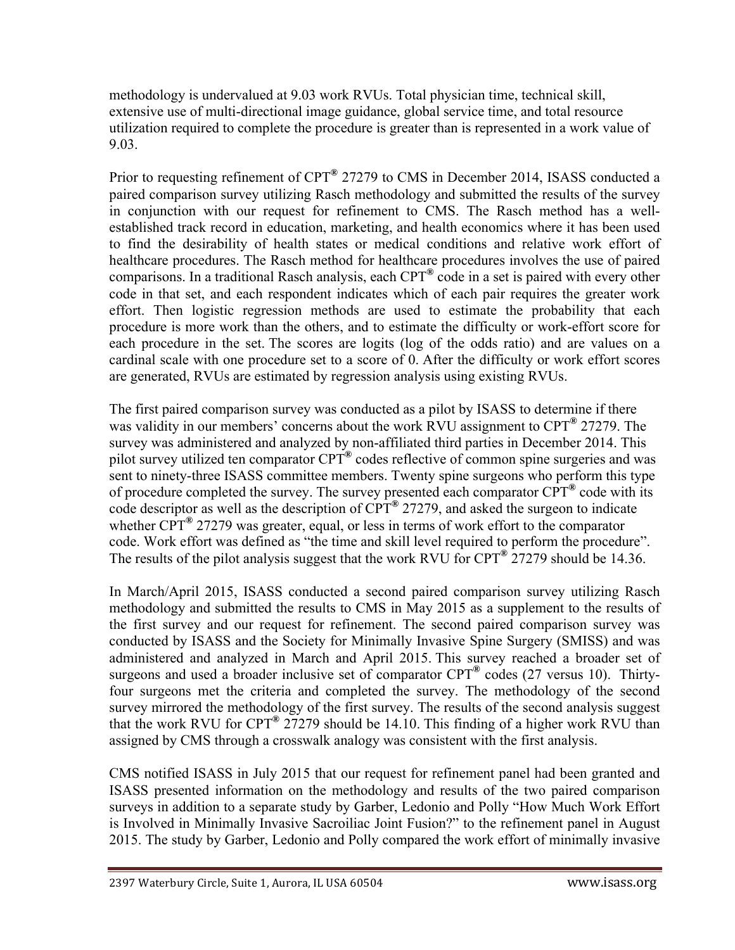methodology is undervalued at 9.03 work RVUs. Total physician time, technical skill, extensive use of multi-directional image guidance, global service time, and total resource utilization required to complete the procedure is greater than is represented in a work value of 9.03.

Prior to requesting refinement of CPT**®** 27279 to CMS in December 2014, ISASS conducted a paired comparison survey utilizing Rasch methodology and submitted the results of the survey in conjunction with our request for refinement to CMS. The Rasch method has a wellestablished track record in education, marketing, and health economics where it has been used to find the desirability of health states or medical conditions and relative work effort of healthcare procedures. The Rasch method for healthcare procedures involves the use of paired comparisons. In a traditional Rasch analysis, each CPT**®** code in a set is paired with every other code in that set, and each respondent indicates which of each pair requires the greater work effort. Then logistic regression methods are used to estimate the probability that each procedure is more work than the others, and to estimate the difficulty or work-effort score for each procedure in the set. The scores are logits (log of the odds ratio) and are values on a cardinal scale with one procedure set to a score of 0. After the difficulty or work effort scores are generated, RVUs are estimated by regression analysis using existing RVUs.

The first paired comparison survey was conducted as a pilot by ISASS to determine if there was validity in our members' concerns about the work RVU assignment to CPT<sup>®</sup> 27279. The survey was administered and analyzed by non-affiliated third parties in December 2014. This pilot survey utilized ten comparator CPT**®** codes reflective of common spine surgeries and was sent to ninety-three ISASS committee members. Twenty spine surgeons who perform this type of procedure completed the survey. The survey presented each comparator CPT**®** code with its code descriptor as well as the description of CPT**®** 27279, and asked the surgeon to indicate whether CPT**®** 27279 was greater, equal, or less in terms of work effort to the comparator code. Work effort was defined as "the time and skill level required to perform the procedure". The results of the pilot analysis suggest that the work RVU for CPT**®** 27279 should be 14.36.

In March/April 2015, ISASS conducted a second paired comparison survey utilizing Rasch methodology and submitted the results to CMS in May 2015 as a supplement to the results of the first survey and our request for refinement. The second paired comparison survey was conducted by ISASS and the Society for Minimally Invasive Spine Surgery (SMISS) and was administered and analyzed in March and April 2015. This survey reached a broader set of surgeons and used a broader inclusive set of comparator CPT**®** codes (27 versus 10). Thirtyfour surgeons met the criteria and completed the survey. The methodology of the second survey mirrored the methodology of the first survey. The results of the second analysis suggest that the work RVU for CPT**®** 27279 should be 14.10. This finding of a higher work RVU than assigned by CMS through a crosswalk analogy was consistent with the first analysis.

CMS notified ISASS in July 2015 that our request for refinement panel had been granted and ISASS presented information on the methodology and results of the two paired comparison surveys in addition to a separate study by Garber, Ledonio and Polly "How Much Work Effort is Involved in Minimally Invasive Sacroiliac Joint Fusion?" to the refinement panel in August 2015. The study by Garber, Ledonio and Polly compared the work effort of minimally invasive